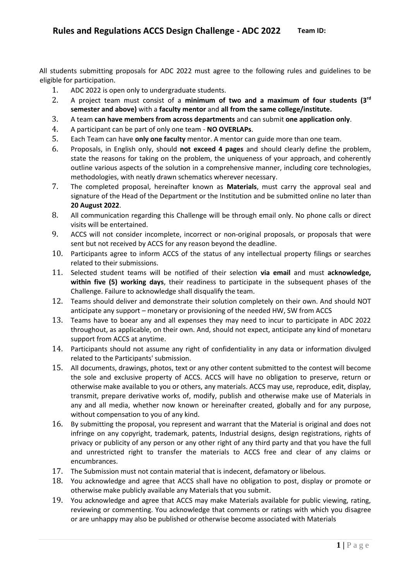All students submitting proposals for ADC 2022 must agree to the following rules and guidelines to be eligible for participation.

- 1. ADC 2022 is open only to undergraduate students.
- 2. A project team must consist of a **minimum of two and a maximum of four students (3rd semester and above)** with a **faculty mentor** and **all from the same college/institute.**
- 3. A team **can have members from across departments** and can submit **one application only**.
- 4. A participant can be part of only one team **NO OVERLAPs**.
- 5. Each Team can have **only one faculty** mentor. A mentor can guide more than one team.
- 6. Proposals, in English only, should **not exceed 4 pages** and should clearly define the problem, state the reasons for taking on the problem, the uniqueness of your approach, and coherently outline various aspects of the solution in a comprehensive manner, including core technologies, methodologies, with neatly drawn schematics wherever necessary.
- 7. The completed proposal, hereinafter known as **Materials**, must carry the approval seal and signature of the Head of the Department or the Institution and be submitted online no later than **20 August 2022**.
- 8. All communication regarding this Challenge will be through email only. No phone calls or direct visits will be entertained.
- 9. ACCS will not consider incomplete, incorrect or non-original proposals, or proposals that were sent but not received by ACCS for any reason beyond the deadline.
- 10. Participants agree to inform ACCS of the status of any intellectual property filings or searches related to their submissions.
- 11. Selected student teams will be notified of their selection **via email** and must **acknowledge, within five (5) working days**, their readiness to participate in the subsequent phases of the Challenge. Failure to acknowledge shall disqualify the team.
- 12. Teams should deliver and demonstrate their solution completely on their own. And should NOT anticipate any support – monetary or provisioning of the needed HW, SW from ACCS
- 13. Teams have to boear any and all expenses they may need to incur to participate in ADC 2022 throughout, as applicable, on their own. And, should not expect, anticipate any kind of monetaru support from ACCS at anytime.
- 14. Participants should not assume any right of confidentiality in any data or information divulged related to the Participants' submission.
- 15. All documents, drawings, photos, text or any other content submitted to the contest will become the sole and exclusive property of ACCS. ACCS will have no obligation to preserve, return or otherwise make available to you or others, any materials. ACCS may use, reproduce, edit, display, transmit, prepare derivative works of, modify, publish and otherwise make use of Materials in any and all media, whether now known or hereinafter created, globally and for any purpose, without compensation to you of any kind.
- 16. By submitting the proposal, you represent and warrant that the Material is original and does not infringe on any copyright, trademark, patents, Industrial designs, design registrations, rights of privacy or publicity of any person or any other right of any third party and that you have the full and unrestricted right to transfer the materials to ACCS free and clear of any claims or encumbrances.
- 17. The Submission must not contain material that is indecent, defamatory or libelous.
- 18. You acknowledge and agree that ACCS shall have no obligation to post, display or promote or otherwise make publicly available any Materials that you submit.
- 19. You acknowledge and agree that ACCS may make Materials available for public viewing, rating, reviewing or commenting. You acknowledge that comments or ratings with which you disagree or are unhappy may also be published or otherwise become associated with Materials